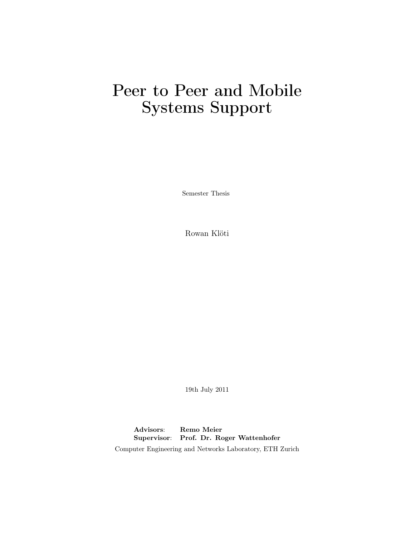# Peer to Peer and Mobile Systems Support

Semester Thesis

Rowan Klöti

19th July 2011

Advisors: Remo Meier Supervisor: Prof. Dr. Roger Wattenhofer Computer Engineering and Networks Laboratory, ETH Zurich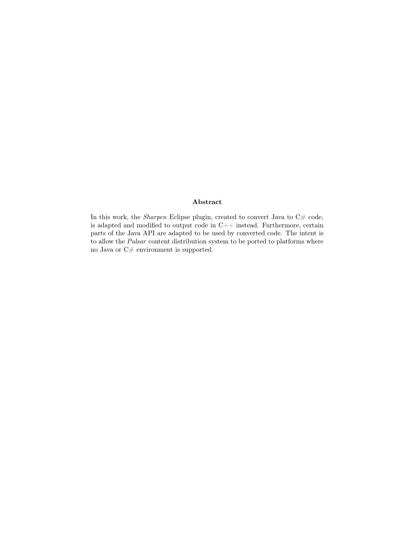#### Abstract

In this work, the *Sharpen* Eclipse plugin, created to convert Java to  $C#$  code, is adapted and modified to output code in C++ instead. Furthermore, certain parts of the Java API are adapted to be used by converted code. The intent is to allow the Pulsar content distribution system to be ported to platforms where no Java or  $\mathrm{C}\#$  environment is supported.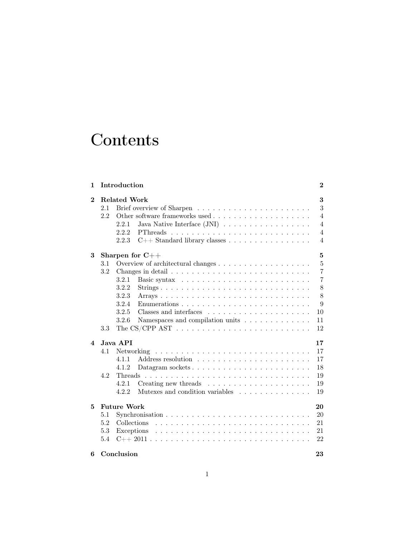# **Contents**

| 1                       |     | Introduction                                                                    | $\bf{2}$       |
|-------------------------|-----|---------------------------------------------------------------------------------|----------------|
| $\mathbf{2}$            | 2.1 | <b>Related Work</b>                                                             | 3<br>3         |
|                         | 2.2 |                                                                                 | $\overline{4}$ |
|                         |     | Java Native Interface $(JNI) \dots \dots \dots \dots \dots \dots$<br>2.2.1      | $\overline{4}$ |
|                         |     | 2.2.2                                                                           | $\overline{4}$ |
|                         |     | 2.2.3<br>C++ Standard library classes                                           | 4              |
| 3                       |     | Sharpen for $C++$                                                               | $\bf{5}$       |
|                         | 3.1 |                                                                                 | $\overline{5}$ |
|                         | 3.2 |                                                                                 | $\overline{7}$ |
|                         |     | 3.2.1                                                                           | $\overline{7}$ |
|                         |     | 3.2.2                                                                           | 8              |
|                         |     | 3.2.3                                                                           | 8              |
|                         |     | 3.2.4                                                                           | 9              |
|                         |     | 3.2.5                                                                           | 10             |
|                         |     | 3.2.6<br>Namespaces and compilation units                                       | 11             |
|                         | 3.3 | The CS/CPP $AST \ldots \ldots \ldots \ldots \ldots \ldots \ldots \ldots \ldots$ | 12             |
|                         |     |                                                                                 |                |
| $\overline{\mathbf{4}}$ |     | Java API                                                                        | 17             |
|                         | 4.1 |                                                                                 | 17             |
|                         |     | 4.1.1                                                                           | 17             |
|                         |     | 4.1.2                                                                           | 18             |
|                         | 4.2 |                                                                                 | 19             |
|                         |     | 4.2.1<br>Creating new threads $\dots \dots \dots \dots \dots \dots \dots$       | 19             |
|                         |     | 4.2.2<br>Mutexes and condition variables                                        | 19             |
| 5                       |     | <b>Future Work</b>                                                              | 20             |
|                         | 5.1 |                                                                                 | $20\,$         |
|                         |     |                                                                                 |                |
|                         | 5.2 | Collections                                                                     | 21             |
|                         | 5.3 | Exceptions                                                                      | 21             |
|                         | 5.4 |                                                                                 | 22             |
| 6                       |     | Conclusion                                                                      | 23             |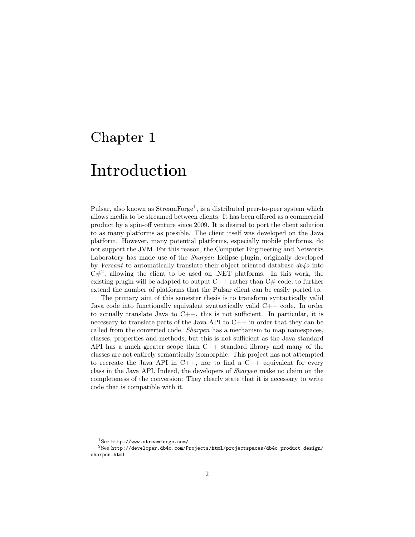# <span id="page-3-0"></span>Introduction

Pulsar, also known as  $\text{StreamForge}^1$  $\text{StreamForge}^1$ , is a distributed peer-to-peer system which allows media to be streamed between clients. It has been offered as a commercial product by a spin-off venture since 2009. It is desired to port the client solution to as many platforms as possible. The client itself was developed on the Java platform. However, many potential platforms, especially mobile platforms, do not support the JVM. For this reason, the Computer Engineering and Networks Laboratory has made use of the Sharpen Eclipse plugin, originally developed by Versant to automatically translate their object oriented database  $db4o$  into  $C#^2$  $C#^2$ , allowing the client to be used on .NET platforms. In this work, the existing plugin will be adapted to output  $C++$  rather than  $C\#$  code, to further extend the number of platforms that the Pulsar client can be easily ported to.

The primary aim of this semester thesis is to transform syntactically valid Java code into functionally equivalent syntactically valid C++ code. In order to actually translate Java to  $C_{++}$ , this is not sufficient. In particular, it is necessary to translate parts of the Java API to  $C_{++}$  in order that they can be called from the converted code. Sharpen has a mechanism to map namespaces, classes, properties and methods, but this is not sufficient as the Java standard API has a much greater scope than  $C++$  standard library and many of the classes are not entirely semantically isomorphic. This project has not attempted to recreate the Java API in  $C_{++}$ , nor to find a  $C_{++}$  equivalent for every class in the Java API. Indeed, the developers of Sharpen make no claim on the completeness of the conversion: They clearly state that it is necessary to write code that is compatible with it.

<span id="page-3-2"></span><span id="page-3-1"></span> $1$ See <http://www.streamforge.com/>

<sup>2</sup>See [http://developer.db4o.com/Projects/html/projectspaces/db4o\\_product\\_design/](http://developer.db4o.com/Projects/html/projectspaces/db4o_product_design/sharpen.html) [sharpen.html](http://developer.db4o.com/Projects/html/projectspaces/db4o_product_design/sharpen.html)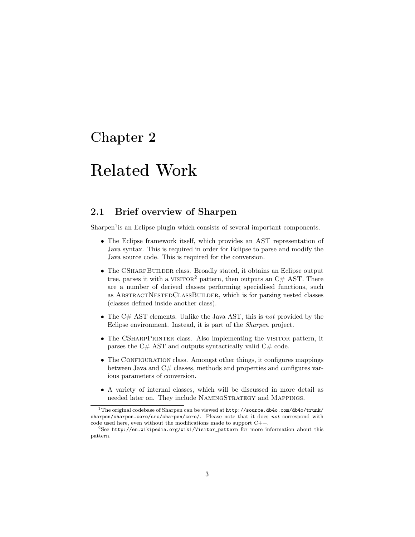# <span id="page-4-0"></span>Related Work

## <span id="page-4-1"></span>2.1 Brief overview of Sharpen

Sharpen<sup>[1](#page-4-2)</sup> is an Eclipse plugin which consists of several important components.

- The Eclipse framework itself, which provides an AST representation of Java syntax. This is required in order for Eclipse to parse and modify the Java source code. This is required for the conversion.
- The CSHARPBUILDER class. Broadly stated, it obtains an Eclipse output tree, parses it with a VISITOR<sup>[2](#page-4-3)</sup> pattern, then outputs an  $C#$  AST. There are a number of derived classes performing specialised functions, such as AbstractNestedClassBuilder, which is for parsing nested classes (classes defined inside another class).
- The  $C#$  AST elements. Unlike the Java AST, this is not provided by the Eclipse environment. Instead, it is part of the Sharpen project.
- The CSHARPPRINTER class. Also implementing the VISITOR pattern, it parses the  $C#$  AST and outputs syntactically valid  $C#$  code.
- The CONFIGURATION class. Amongst other things, it configures mappings between Java and  $C\#$  classes, methods and properties and configures various parameters of conversion.
- A variety of internal classes, which will be discussed in more detail as needed later on. They include NamingStrategy and Mappings.

<span id="page-4-2"></span><sup>1</sup>The original codebase of Sharpen can be viewed at [http://source.db4o.com/db4o/trunk/](http://source.db4o.com/db4o/trunk/sharpen/sharpen.core/src/sharpen/core/) [sharpen/sharpen.core/src/sharpen/core/](http://source.db4o.com/db4o/trunk/sharpen/sharpen.core/src/sharpen/core/). Please note that it does not correspond with code used here, even without the modifications made to support  $C_{++}$ .

<span id="page-4-3"></span> $2$ See [http://en.wikipedia.org/wiki/Visitor\\_pattern](http://en.wikipedia.org/wiki/Visitor_pattern) for more information about this pattern.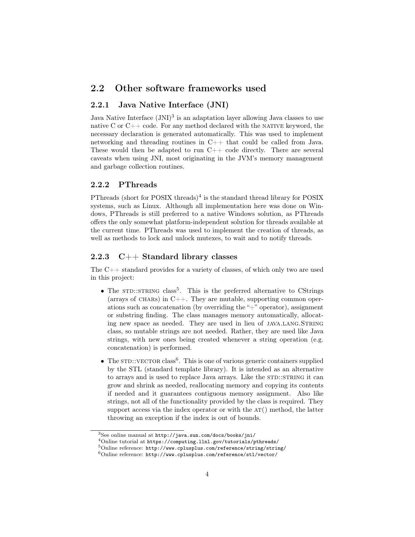### <span id="page-5-0"></span>2.2 Other software frameworks used

#### <span id="page-5-1"></span>2.2.1 Java Native Interface (JNI)

Java Native Interface  $(JNI)^3$  $(JNI)^3$  is an adaptation layer allowing Java classes to use native C or  $C++$  code. For any method declared with the NATIVE keyword, the necessary declaration is generated automatically. This was used to implement networking and threading routines in C++ that could be called from Java. These would then be adapted to run  $C++$  code directly. There are several caveats when using JNI, most originating in the JVM's memory management and garbage collection routines.

#### <span id="page-5-2"></span>2.2.2 PThreads

PThreads (short for POSIX threads)<sup>[4](#page-5-5)</sup> is the standard thread library for POSIX systems, such as Linux. Although all implementation here was done on Windows, PThreads is still preferred to a native Windows solution, as PThreads offers the only somewhat platform-independent solution for threads available at the current time. PThreads was used to implement the creation of threads, as well as methods to lock and unlock mutexes, to wait and to notify threads.

#### <span id="page-5-3"></span>2.2.3 C++ Standard library classes

The C++ standard provides for a variety of classes, of which only two are used in this project:

- The STD::STRING class<sup>[5](#page-5-6)</sup>. This is the preferred alternative to CStrings (arrays of CHARS) in  $C_{++}$ . They are mutable, supporting common operations such as concatenation (by overriding the "+" operator), assignment or substring finding. The class manages memory automatically, allocating new space as needed. They are used in lieu of JAVA.LANG.STRING class, so mutable strings are not needed. Rather, they are used like Java strings, with new ones being created whenever a string operation (e.g. concatenation) is performed.
- The  $STD::VECTOR \, class^6$  $STD::VECTOR \, class^6$ . This is one of various generic containers supplied by the STL (standard template library). It is intended as an alternative to arrays and is used to replace Java arrays. Like the STD::STRING it can grow and shrink as needed, reallocating memory and copying its contents if needed and it guarantees contiguous memory assignment. Also like strings, not all of the functionality provided by the class is required. They support access via the index operator or with the  $AT()$  method, the latter throwing an exception if the index is out of bounds.

<span id="page-5-4"></span> $3$ See online manual at  $http://java.sun.com/docs/books/ini/$ 

<span id="page-5-5"></span> $^4 \rm Online$ tutorial at <https://computing.llnl.gov/tutorials/pthreads/>

<span id="page-5-6"></span> $^5$ Online reference: <http://www.cplusplus.com/reference/string/string/>

<span id="page-5-7"></span> $^6\rm Online$  reference: <http://www.cplusplus.com/reference/stl/vector/>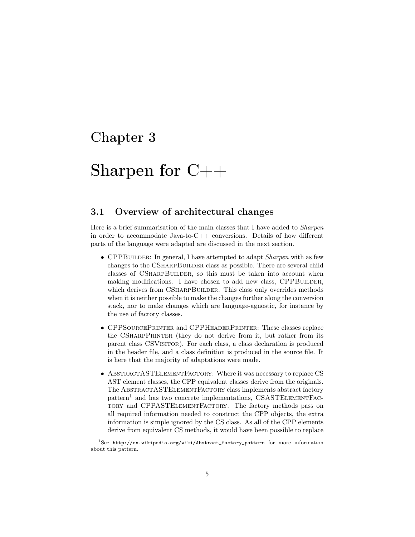# <span id="page-6-0"></span>Sharpen for C++

### <span id="page-6-1"></span>3.1 Overview of architectural changes

Here is a brief summarisation of the main classes that I have added to Sharpen in order to accommodate Java-to-C++ conversions. Details of how different parts of the language were adapted are discussed in the next section.

- CPPBUILDER: In general, I have attempted to adapt *Sharpen* with as few changes to the CSHARPBUILDER class as possible. There are several child classes of CSharpBuilder, so this must be taken into account when making modifications. I have chosen to add new class, CPPBUILDER, which derives from CSHARPBUILDER. This class only overrides methods when it is neither possible to make the changes further along the conversion stack, nor to make changes which are language-agnostic, for instance by the use of factory classes.
- CPPSourcePrinter and CPPHeaderPrinter: These classes replace the CSHARPPRINTER (they do not derive from it, but rather from its parent class CSVisitor). For each class, a class declaration is produced in the header file, and a class definition is produced in the source file. It is here that the majority of adaptations were made.
- ABSTRACTASTELEMENTFACTORY: Where it was necessary to replace CS AST element classes, the CPP equivalent classes derive from the originals. The ABSTRACTASTELEMENTFACTORY class implements abstract factory pattern<sup>[1](#page-6-2)</sup> and has two concrete implementations, CSASTELEMENTFACtory and CPPASTElementFactory. The factory methods pass on all required information needed to construct the CPP objects, the extra information is simple ignored by the CS class. As all of the CPP elements derive from equivalent CS methods, it would have been possible to replace

<span id="page-6-2"></span><sup>&</sup>lt;sup>1</sup>See [http://en.wikipedia.org/wiki/Abstract\\_factory\\_pattern](http://en.wikipedia.org/wiki/Abstract_factory_pattern) for more information about this pattern.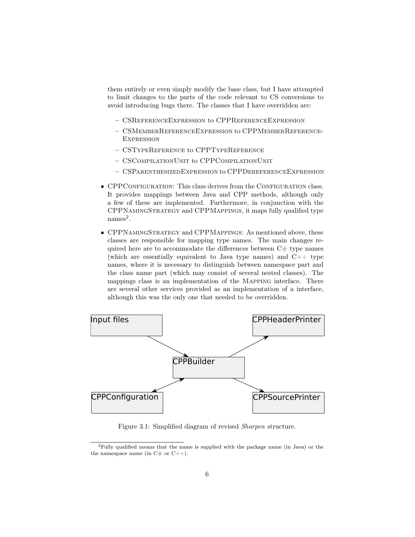them entirely or even simply modify the base class, but I have attempted to limit changes to the parts of the code relevant to CS conversions to avoid introducing bugs there. The classes that I have overridden are:

- CSReferenceExpression to CPPReferenceExpression
- CSMemberReferenceExpression to CPPMemberReference-**EXPRESSION**
- CSTypeReference to CPPTypeReference
- CSCompilationUnit to CPPCompilationUnit
- CSParenthesizedExpression to CPPDereferenceExpression
- CPPCONFIGURATION: This class derives from the CONFIGURATION class. It provides mappings between Java and CPP methods, although only a few of these are implemented. Furthermore, in conjunction with the CPPNamingStrategy and CPPMappings, it maps fully qualified type  ${\rm names}^2.$  ${\rm names}^2.$  ${\rm names}^2.$
- CPPNamingStrategy and CPPMappings: As mentioned above, these classes are responsible for mapping type names. The main changes required here are to accommodate the differences between  $C#$  type names (which are essentially equivalent to Java type names) and C++ type names, where it is necessary to distinguish between namespace part and the class name part (which may consist of several nested classes). The mappings class is an implementation of the Mapping interface. There are several other services provided as an implementation of a interface, although this was the only one that needed to be overridden.



Figure 3.1: Simplified diagram of revised Sharpen structure.

<span id="page-7-0"></span><sup>2</sup>Fully qualified means that the name is supplied with the package name (in Java) or the the namespace name (in  $C#$  or  $C++$ ).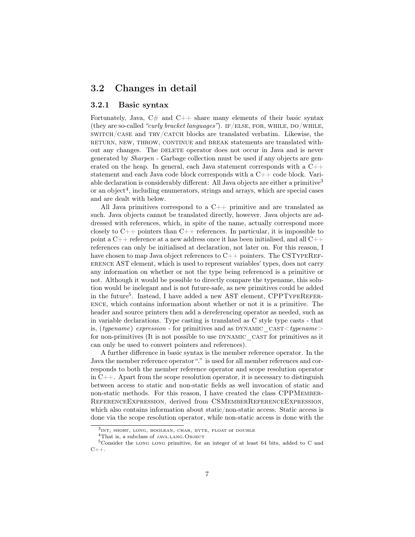### <span id="page-8-0"></span>3.2 Changes in detail

#### <span id="page-8-1"></span>3.2.1 Basic syntax

Fortunately, Java,  $C\#$  and  $C++$  share many elements of their basic syntax (they are so-called "curly bracket languages"). IF/ELSE, FOR, WHILE, DO/WHILE, switch/case and try/catch blocks are translated verbatim. Likewise, the RETURN, NEW, THROW, CONTINUE and BREAK statements are translated without any changes. The DELETE operator does not occur in Java and is never generated by Sharpen - Garbage collection must be used if any objects are generated on the heap. In general, each Java statement corresponds with a  $C_{++}$ statement and each Java code block corresponds with a C++ code block. Vari-able declaration is considerably different: All Java objects are either a primitive<sup>[3](#page-8-2)</sup> or an object<sup>[4](#page-8-3)</sup>, including enumerators, strings and arrays, which are special cases and are dealt with below.

All Java primitives correspond to a  $C_{++}$  primitive and are translated as such. Java objects cannot be translated directly, however. Java objects are addressed with references, which, in spite of the name, actually correspond more closely to  $C_{++}$  pointers than  $C_{++}$  references. In particular, it is impossible to point a  $C_{++}$  reference at a new address once it has been initialised, and all  $C_{++}$ references can only be initialised at declaration, not later on. For this reason, I have chosen to map Java object references to  $C_{++}$  pointers. The CSTYPEREFerence AST element, which is used to represent variables' types, does not carry any information on whether or not the type being referenced is a primitive or not. Although it would be possible to directly compare the typename, this solution would be inelegant and is not future-safe, as new primitives could be added in the future<sup>[5](#page-8-4)</sup>. Instead, I have added a new AST element, CPPTYPEREFERence, which contains information about whether or not it is a primitive. The header and source printers then add a dereferencing operator as needed, such as in variable declarations. Type casting is translated as C style type casts - that is, (typename) expression - for primitives and as DYNAMIC  $\cos \tau \leq type name$ for non-primitives (It is not possible to use DYNAMIC CAST for primitives as it can only be used to convert pointers and references).

A further difference in basic syntax is the member reference operator. In the Java the member reference operator "." is used for all member references and corresponds to both the member reference operator and scope resolution operator in  $C_{++}$ . Apart from the scope resolution operator, it is necessary to distinguish between access to static and non-static fields as well invocation of static and non-static methods. For this reason, I have created the class CPPMEMBER-ReferenceExpression, derived from CSMemberReferenceExpression, which also contains information about static/non-static access. Static access is done via the scope resolution operator, while non-static access is done with the

<span id="page-8-2"></span><sup>3</sup> int, short, long, boolean, char, byte, float or double

<span id="page-8-4"></span><span id="page-8-3"></span><sup>4</sup>That is, a subclass of java.lang.Object

<sup>&</sup>lt;sup>5</sup>Consider the LONG LONG primitive, for an integer of at least 64 bits, added to C and  $C++$ .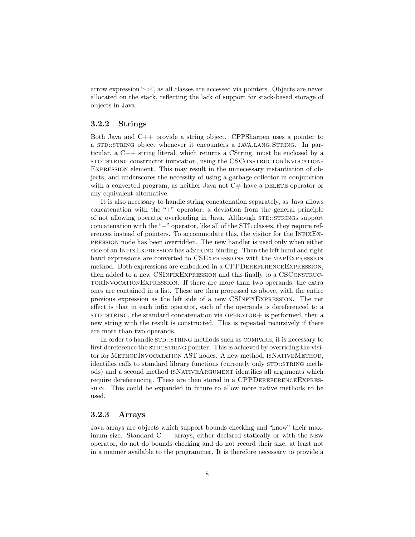arrow expression "->", as all classes are accessed via pointers. Objects are never allocated on the stack, reflecting the lack of support for stack-based storage of objects in Java.

#### <span id="page-9-0"></span>3.2.2 Strings

Both Java and C++ provide a string object. CPPSharpen uses a pointer to a std::string object whenever it encounters a java.lang.String. In particular, a C++ string literal, which returns a CString, must be enclosed by a std::straing constructor invocation, using the CSCONSTRUCTORINVOCATION-Expression element. This may result in the unnecessary instantiation of objects, and underscores the necessity of using a garbage collector in conjunction with a converted program, as neither Java not  $C#$  have a DELETE operator or any equivalent alternative.

It is also necessary to handle string concatenation separately, as Java allows concatenation with the " $+$ " operator, a deviation from the general principle of not allowing operator overloading in Java. Although STD::STRINGS support concatenation with the "+" operator, like all of the STL classes, they require references instead of pointers. To accommodate this, the visitor for the InfixExpression node has been overridden. The new handler is used only when either side of an INFIXEXPRESSION has a STRING binding. Then the left hand and right hand expressions are converted to CSExpressions with the mapExpression method. Both expressions are embedded in a CPPDereferenceExpression, then added to a new CSINFIXEXPRESSION and this finally to a CSCONSTRUCtorInvocationExpression. If there are more than two operands, the extra ones are contained in a list. These are then processed as above, with the entire previous expression as the left side of a new CSInfixExpression. The net effect is that in each infix operator, each of the operands is dereferenced to a  $STD::STRING$ , the standard concatenation via  $OPERATOR+$  is performed, then a new string with the result is constructed. This is repeated recursively if there are more than two operands.

In order to handle STD::STRING methods such as COMPARE, it is necessary to first dereference the  $STD::STRING$  pointer. This is achieved by overriding the visitor for MethodInvocatation AST nodes. A new method, isNativeMethod, identifies calls to standard library functions (currently only STD::STRING methods) and a second method ISNATIVEARGUMENT identifies all arguments which require dereferencing. These are then stored in a CPPDereferenceExpression. This could be expanded in future to allow more native methods to be used.

#### <span id="page-9-1"></span>3.2.3 Arrays

Java arrays are objects which support bounds checking and "know" their maximum size. Standard C++ arrays, either declared statically or with the new operator, do not do bounds checking and do not record their size, at least not in a manner available to the programmer. It is therefore necessary to provide a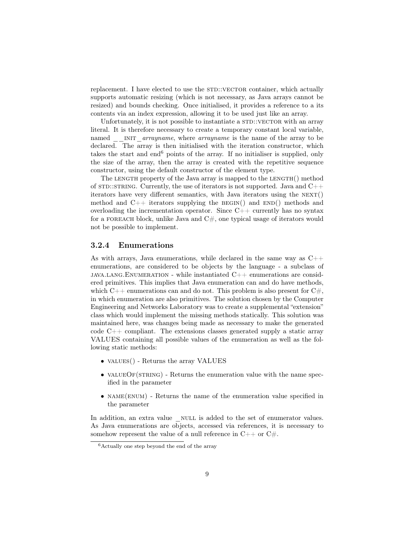replacement. I have elected to use the  $STD::VECTOR}$  container, which actually supports automatic resizing (which is not necessary, as Java arrays cannot be resized) and bounds checking. Once initialised, it provides a reference to a its contents via an index expression, allowing it to be used just like an array.

Unfortunately, it is not possible to instantiate a  $STD::VECTOR$  with an array literal. It is therefore necessary to create a temporary constant local variable, named INIT *arrayname*, where *arrayname* is the name of the array to be declared. The array is then initialised with the iteration constructor, which takes the start and end $6$  points of the array. If no initialiser is supplied, only the size of the array, then the array is created with the repetitive sequence constructor, using the default constructor of the element type.

The LENGTH property of the Java array is mapped to the LENGTH() method of  $STD::STRING$ . Currently, the use of iterators is not supported. Java and  $C++$ iterators have very different semantics, with Java iterators using the  $NEXT()$ method and  $C_{++}$  iterators supplying the BEGIN() and END() methods and overloading the incrementation operator. Since  $C_{++}$  currently has no syntax for a FOREACH block, unlike Java and  $C#$ , one typical usage of iterators would not be possible to implement.

#### <span id="page-10-0"></span>3.2.4 Enumerations

As with arrays, Java enumerations, while declared in the same way as  $C++$ enumerations, are considered to be objects by the language - a subclass of java.lang.Enumeration - while instantiated C++ enumerations are considered primitives. This implies that Java enumeration can and do have methods, which  $C++$  enumerations can and do not. This problem is also present for  $C#$ , in which enumeration are also primitives. The solution chosen by the Computer Engineering and Networks Laboratory was to create a supplemental "extension" class which would implement the missing methods statically. This solution was maintained here, was changes being made as necessary to make the generated code  $C++$  compliant. The extensions classes generated supply a static array VALUES containing all possible values of the enumeration as well as the following static methods:

- VALUES() Returns the array VALUES
- VALUEOF( $STRING$ ) Returns the enumeration value with the name specified in the parameter
- NAME(ENUM) Returns the name of the enumeration value specified in the parameter

In addition, an extra value \_ NULL is added to the set of enumerator values. As Java enumerations are objects, accessed via references, it is necessary to somehow represent the value of a null reference in  $C_{++}$  or  $C_{\#}$ .

<span id="page-10-1"></span> $6$ Actually one step beyond the end of the array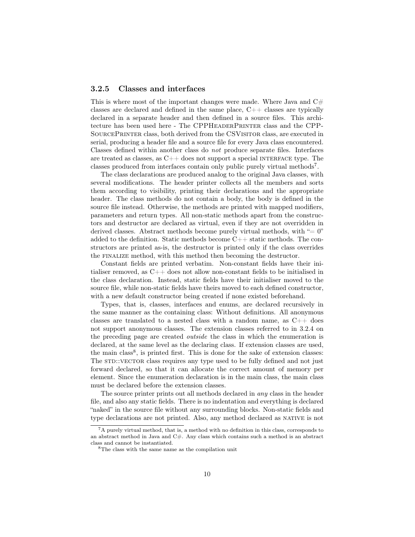#### <span id="page-11-0"></span>3.2.5 Classes and interfaces

This is where most of the important changes were made. Where Java and  $C#$ classes are declared and defined in the same place, C++ classes are typically declared in a separate header and then defined in a source files. This architecture has been used here - The CPPHeaderPrinter class and the CPP-SourcePrinter class, both derived from the CSVisitor class, are executed in serial, producing a header file and a source file for every Java class encountered. Classes defined within another class do not produce separate files. Interfaces are treated as classes, as  $C_{++}$  does not support a special INTERFACE type. The classes produced from interfaces contain only public purely virtual methods[7](#page-11-1) .

The class declarations are produced analog to the original Java classes, with several modifications. The header printer collects all the members and sorts them according to visibility, printing their declarations and the appropriate header. The class methods do not contain a body, the body is defined in the source file instead. Otherwise, the methods are printed with mapped modifiers, parameters and return types. All non-static methods apart from the constructors and destructor are declared as virtual, even if they are not overridden in derived classes. Abstract methods become purely virtual methods, with  $"= 0"$ added to the definition. Static methods become  $C_{++}$  static methods. The constructors are printed as-is, the destructor is printed only if the class overrides the finalize method, with this method then becoming the destructor.

Constant fields are printed verbatim. Non-constant fields have their initialiser removed, as  $C_{++}$  does not allow non-constant fields to be initialised in the class declaration. Instead, static fields have their initialiser moved to the source file, while non-static fields have theirs moved to each defined constructor, with a new default constructor being created if none existed beforehand.

Types, that is, classes, interfaces and enums, are declared recursively in the same manner as the containing class: Without definitions. All anonymous classes are translated to a nested class with a random name, as  $C++$  does not support anonymous classes. The extension classes referred to in [3.2.4 on](#page-10-0) [the preceding page](#page-10-0) are created outside the class in which the enumeration is declared, at the same level as the declaring class. If extension classes are used, the main class<sup>[8](#page-11-2)</sup>, is printed first. This is done for the sake of extension classes: The STD::VECTOR class requires any type used to be fully defined and not just forward declared, so that it can allocate the correct amount of memory per element. Since the enumeration declaration is in the main class, the main class must be declared before the extension classes.

The source printer prints out all methods declared in any class in the header file, and also any static fields. There is no indentation and everything is declared "naked" in the source file without any surrounding blocks. Non-static fields and type declarations are not printed. Also, any method declared as NATIVE is not

<span id="page-11-1"></span> ${}^{7}$ A purely virtual method, that is, a method with no definition in this class, corresponds to an abstract method in Java and  $C#$ . Any class which contains such a method is an abstract class and cannot be instantiated.

<span id="page-11-2"></span><sup>8</sup>The class with the same name as the compilation unit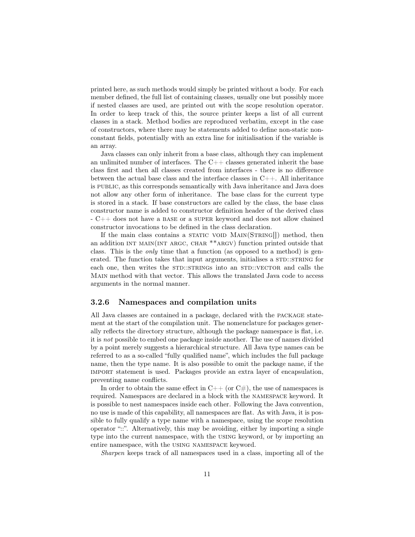printed here, as such methods would simply be printed without a body. For each member defined, the full list of containing classes, usually one but possibly more if nested classes are used, are printed out with the scope resolution operator. In order to keep track of this, the source printer keeps a list of all current classes in a stack. Method bodies are reproduced verbatim, except in the case of constructors, where there may be statements added to define non-static nonconstant fields, potentially with an extra line for initialisation if the variable is an array.

Java classes can only inherit from a base class, although they can implement an unlimited number of interfaces. The  $C_{++}$  classes generated inherit the base class first and then all classes created from interfaces - there is no difference between the actual base class and the interface classes in  $C_{++}$ . All inheritance is public, as this corresponds semantically with Java inheritance and Java does not allow any other form of inheritance. The base class for the current type is stored in a stack. If base constructors are called by the class, the base class constructor name is added to constructor definition header of the derived class - C++ does not have a base or a super keyword and does not allow chained constructor invocations to be defined in the class declaration.

If the main class contains a STATIC VOID  $MAIN(STRING$ ]) method, then an addition int main(int argc, char \*\*argv) function printed outside that class. This is the only time that a function (as opposed to a method) is generated. The function takes that input arguments, initialises a  $STD::STRING$  for each one, then writes the STD::STRINGs into an STD::VECTOR and calls the Main method with that vector. This allows the translated Java code to access arguments in the normal manner.

#### <span id="page-12-0"></span>3.2.6 Namespaces and compilation units

All Java classes are contained in a package, declared with the package statement at the start of the compilation unit. The nomenclature for packages generally reflects the directory structure, although the package namespace is flat, i.e. it is not possible to embed one package inside another. The use of names divided by a point merely suggests a hierarchical structure. All Java type names can be referred to as a so-called "fully qualified name", which includes the full package name, then the type name. It is also possible to omit the package name, if the import statement is used. Packages provide an extra layer of encapsulation, preventing name conflicts.

In order to obtain the same effect in  $C++$  (or  $C#$ ), the use of namespaces is required. Namespaces are declared in a block with the namespace keyword. It is possible to nest namespaces inside each other. Following the Java convention, no use is made of this capability, all namespaces are flat. As with Java, it is possible to fully qualify a type name with a namespace, using the scope resolution operator "::". Alternatively, this may be avoiding, either by importing a single type into the current namespace, with the using keyword, or by importing an entire namespace, with the using namespace keyword.

Sharpen keeps track of all namespaces used in a class, importing all of the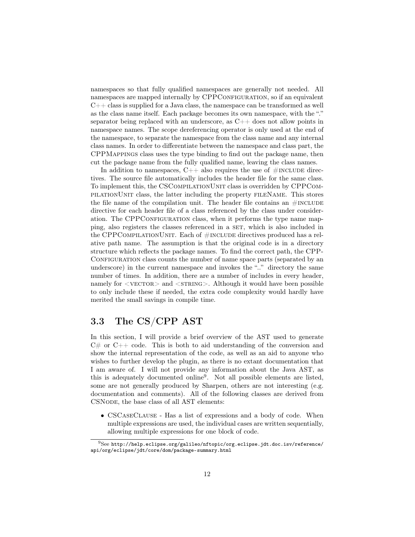namespaces so that fully qualified namespaces are generally not needed. All namespaces are mapped internally by CPPCONFIGURATION, so if an equivalent  $C++$  class is supplied for a Java class, the namespace can be transformed as well as the class name itself. Each package becomes its own namespace, with the "." separator being replaced with an underscore, as  $C_{++}$  does not allow points in namespace names. The scope dereferencing operator is only used at the end of the namespace, to separate the namespace from the class name and any internal class names. In order to differentiate between the namespace and class part, the CPPMappings class uses the type binding to find out the package name, then cut the package name from the fully qualified name, leaving the class names.

In addition to namespaces,  $C_{++}$  also requires the use of  $\#$ INCLUDE directives. The source file automatically includes the header file for the same class. To implement this, the CSCompilationUnit class is overridden by CPPCompilationUnit class, the latter including the property fileName. This stores the file name of the compilation unit. The header file contains an  $\#INCLUDE$ directive for each header file of a class referenced by the class under consideration. The CPPCONFIGURATION class, when it performs the type name mapping, also registers the classes referenced in a set, which is also included in the CPPCOMPILATIONUNIT. Each of  $#INCLUDE$  directives produced has a relative path name. The assumption is that the original code is in a directory structure which reflects the package names. To find the correct path, the CPP-CONFIGURATION class counts the number of name space parts (separated by an underscore) in the current namespace and invokes the ".." directory the same number of times. In addition, there are a number of includes in every header, namely for  $\langle$  vECTOR $\rangle$  and  $\langle$  sTRING $\rangle$ . Although it would have been possible to only include these if needed, the extra code complexity would hardly have merited the small savings in compile time.

## <span id="page-13-0"></span>3.3 The CS/CPP AST

In this section, I will provide a brief overview of the AST used to generate  $C#$  or  $C++$  code. This is both to aid understanding of the conversion and show the internal representation of the code, as well as an aid to anyone who wishes to further develop the plugin, as there is no extant documentation that I am aware of. I will not provide any information about the Java AST, as this is adequately documented online[9](#page-13-1) . Not all possible elements are listed, some are not generally produced by Sharpen, others are not interesting (e.g. documentation and comments). All of the following classes are derived from CSNODE, the base class of all AST elements:

• CSCASECLAUSE - Has a list of expressions and a body of code. When multiple expressions are used, the individual cases are written sequentially, allowing multiple expressions for one block of code.

<span id="page-13-1"></span> $^{9}$ See [http://help.eclipse.org/galileo/nftopic/org.eclipse.jdt.doc.isv/reference/](http://help.eclipse.org/galileo/nftopic/org.eclipse.jdt.doc.isv/reference/api/org/eclipse/jdt/core/dom/package-summary.html) [api/org/eclipse/jdt/core/dom/package-summary.html](http://help.eclipse.org/galileo/nftopic/org.eclipse.jdt.doc.isv/reference/api/org/eclipse/jdt/core/dom/package-summary.html)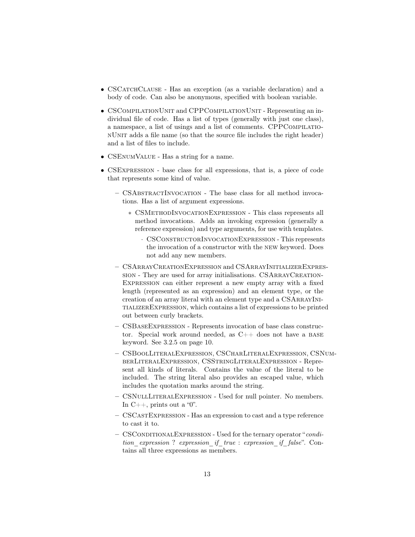- CSCATCHCLAUSE Has an exception (as a variable declaration) and a body of code. Can also be anonymous, specified with boolean variable.
- CSCOMPILATIONUNIT and CPPCOMPILATIONUNIT Representing an individual file of code. Has a list of types (generally with just one class), a namespace, a list of usings and a list of comments. CPPCOMPILATIOnUnit adds a file name (so that the source file includes the right header) and a list of files to include.
- CSEnumValue Has a string for a name.
- CSExpression base class for all expressions, that is, a piece of code that represents some kind of value.
	- CSAbstractInvocation The base class for all method invocations. Has a list of argument expressions.
		- ∗ CSMethodInvocationExpression This class represents all method invocations. Adds an invoking expression (generally a reference expression) and type arguments, for use with templates.
			- · CSConstructorInvocationExpression This represents the invocation of a constructor with the new keyword. Does not add any new members.
	- CSArrayCreationExpression and CSArrayInitializerExpression - They are used for array initialisations. CSARRAYCREATION-Expression can either represent a new empty array with a fixed length (represented as an expression) and an element type, or the creation of an array literal with an element type and a CSARRAYINItializerExpression, which contains a list of expressions to be printed out between curly brackets.
	- CSBaseExpression Represents invocation of base class constructor. Special work around needed, as  $C_{++}$  does not have a BASE keyword. See [3.2.5 on page 10.](#page-11-0)
	- CSBoolLiteralExpression, CSCharLiteralExpression, CSNumberLiteralExpression, CSStringLiteralExpression - Represent all kinds of literals. Contains the value of the literal to be included. The string literal also provides an escaped value, which includes the quotation marks around the string.
	- CSNullLiteralExpression Used for null pointer. No members. In  $C_{++}$ , prints out a "0".
	- CSCastExpression Has an expression to cast and a type reference to cast it to.
	- CSConditionalExpression Used for the ternary operator "condition expression ? expression if true : expression if false". Contains all three expressions as members.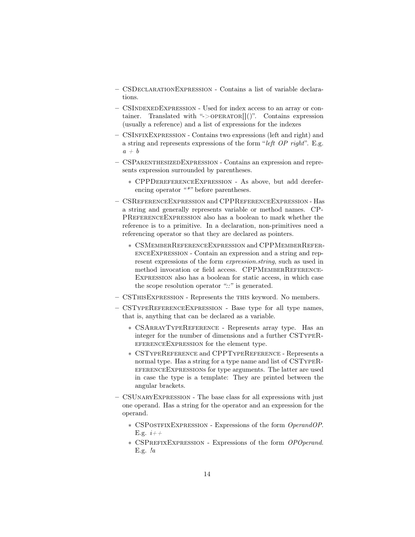- CSDeclarationExpression Contains a list of variable declarations.
- CSIndexedExpression Used for index access to an array or container. Translated with " $\geq$ OPERATOR $\vert\vert$ ()". Contains expression (usually a reference) and a list of expressions for the indexes
- CSInfixExpression Contains two expressions (left and right) and a string and represents expressions of the form "left OP right". E.g.  $a + b$
- CSParenthesizedExpression Contains an expression and represents expression surrounded by parentheses.
	- ∗ CPPDereferenceExpression As above, but add dereferencing operator "\*" before parentheses.
- CSReferenceExpression and CPPReferenceExpression Has a string and generally represents variable or method names. CP-PREFERENCEEXPRESSION also has a boolean to mark whether the reference is to a primitive. In a declaration, non-primitives need a referencing operator so that they are declared as pointers.
	- ∗ CSMemberReferenceExpression and CPPMemberReferenceExpression - Contain an expression and a string and represent expressions of the form expression.string, such as used in method invocation or field access. CPPMEMBERREFERENCE-Expression also has a boolean for static access, in which case the scope resolution operator "::" is generated.
- CSThisExpression Represents the this keyword. No members.
- CSTypeReferenceExpression Base type for all type names, that is, anything that can be declared as a variable.
	- ∗ CSArrayTypeReference Represents array type. Has an integer for the number of dimensions and a further CSTypeReferenceExpression for the element type.
	- ∗ CSTypeReference and CPPTypeReference Represents a normal type. Has a string for a type name and list of CSTypeReferenceExpressions for type arguments. The latter are used in case the type is a template: They are printed between the angular brackets.
- CSUnaryExpression The base class for all expressions with just one operand. Has a string for the operator and an expression for the operand.
	- ∗ CSPostfixExpression Expressions of the form OperandOP. E.g.  $i++$
	- ∗ CSPrefixExpression Expressions of the form OPOperand. E.g. !a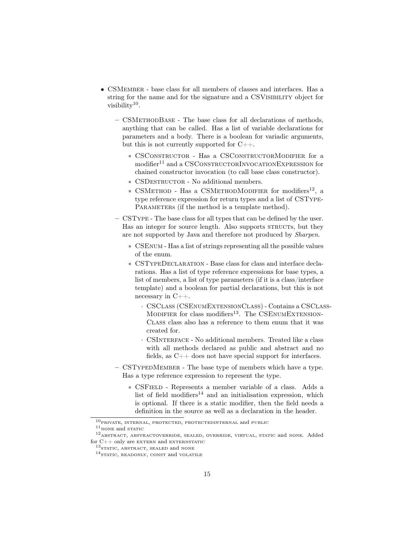- CSMEMBER base class for all members of classes and interfaces. Has a string for the name and for the signature and a CSVISIBILITY object for visibility $10$ .
	- CSMethodBase The base class for all declarations of methods, anything that can be called. Has a list of variable declarations for parameters and a body. There is a boolean for variadic arguments, but this is not currently supported for C++.
		- ∗ CSConstructor Has a CSConstructorModifier for a modifier<sup>[11](#page-16-1)</sup> and a CSCONSTRUCTORINVOCATIONEXPRESSION for chained constructor invocation (to call base class constructor).
		- ∗ CSDestructor No additional members.
		- ∗ CSMethod Has a CSMethodModifier for modifiers[12](#page-16-2), a type reference expression for return types and a list of CSType-PARAMETERS (if the method is a template method).
	- CSType The base class for all types that can be defined by the user. Has an integer for source length. Also supports STRUCTs, but they are not supported by Java and therefore not produced by Sharpen.
		- ∗ CSEnum Has a list of strings representing all the possible values of the enum.
		- ∗ CSTypeDeclaration Base class for class and interface declarations. Has a list of type reference expressions for base types, a list of members, a list of type parameters (if it is a class/interface template) and a boolean for partial declarations, but this is not necessary in C++.
			- · CSClass (CSEnumExtensionClass) Contains a CSClass-MODIFIER for class modifiers<sup>[13](#page-16-3)</sup>. The CSENUMEXTENSION-Class class also has a reference to them enum that it was created for.
			- · CSInterface No additional members. Treated like a class with all methods declared as public and abstract and no fields, as  $C_{++}$  does not have special support for interfaces.
	- CSTypedMember The base type of members which have a type. Has a type reference expression to represent the type.
		- ∗ CSField Represents a member variable of a class. Adds a list of field modifiers<sup>[14](#page-16-4)</sup> and an initialisation expression, which is optional. If there is a static modifier, then the field needs a definition in the source as well as a declaration in the header.

<span id="page-16-0"></span> $\overline{{}^{10}\text{priv}}$  , internal, protected, protected<br>internal and public

<span id="page-16-2"></span><span id="page-16-1"></span> $11$ <sub>NONE</sub> and static

<sup>12</sup>abstract, abstractoverride, sealed, override, virtual, static and none. Added for C++ only are <code>EXTERN</code> and <code>EXTERNSTATIC</code>

<span id="page-16-3"></span><sup>&</sup>lt;sup>13</sup>STATIC, ABSTRACT, SEALED and NONE

<span id="page-16-4"></span> $^{14}\rm{STATIC},$  READONLY, CONST and VOLATILE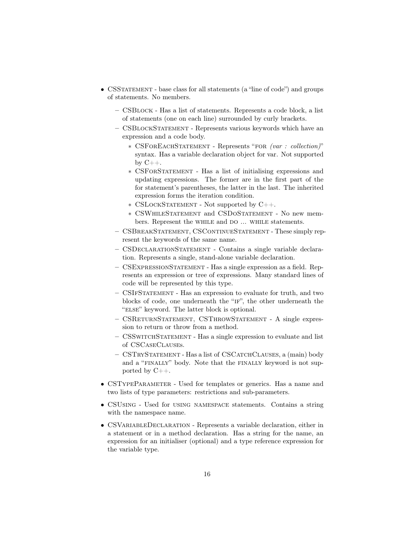- CSSTATEMENT base class for all statements (a "line of code") and groups of statements. No members.
	- CSBlock Has a list of statements. Represents a code block, a list of statements (one on each line) surrounded by curly brackets.
	- CSBlockStatement Represents various keywords which have an expression and a code body.
		- ∗ CSForEachStatement Represents "for (var : collection)" syntax. Has a variable declaration object for var. Not supported by  $C_{++}$ .
		- ∗ CSForStatement Has a list of initialising expressions and updating expressions. The former are in the first part of the for statement's parentheses, the latter in the last. The inherited expression forms the iteration condition.
		- ∗ CSLockStatement Not supported by C++.
		- ∗ CSWhileStatement and CSDoStatement No new members. Represent the WHILE and DO ... WHILE statements.
	- CSBreakStatement, CSContinueStatement These simply represent the keywords of the same name.
	- CSDeclarationStatement Contains a single variable declaration. Represents a single, stand-alone variable declaration.
	- CSExpressionStatement Has a single expression as a field. Represents an expression or tree of expressions. Many standard lines of code will be represented by this type.
	- CSIfStatement Has an expression to evaluate for truth, and two blocks of code, one underneath the "if", the other underneath the "else" keyword. The latter block is optional.
	- CSReturnStatement, CSThrowStatement A single expression to return or throw from a method.
	- CSSwitchStatement Has a single expression to evaluate and list of CSCaseClauses.
	- CSTryStatement Has a list of CSCatchClauses, a (main) body and a "finally" body. Note that the finally keyword is not supported by C++.
- CSTYPEPARAMETER Used for templates or generics. Has a name and two lists of type parameters: restrictions and sub-parameters.
- CSUsing Used for using namespace statements. Contains a string with the namespace name.
- CSVariableDeclaration Represents a variable declaration, either in a statement or in a method declaration. Has a string for the name, an expression for an initialiser (optional) and a type reference expression for the variable type.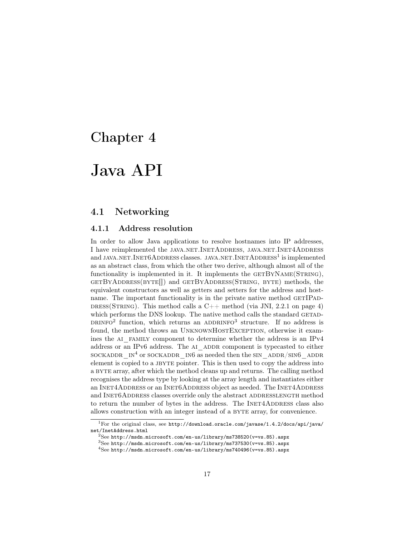## <span id="page-18-0"></span>Java API

### <span id="page-18-1"></span>4.1 Networking

#### <span id="page-18-2"></span>4.1.1 Address resolution

In order to allow Java applications to resolve hostnames into IP addresses, I have reimplemented the JAVA.NET.INETADDRESS, JAVA.NET.INET4ADDRESS and JAVA.NET. INET $6A$ DDRESS classes. JAVA.NET. INET $A$ DDRESS<sup>[1](#page-18-3)</sup> is implemented as an abstract class, from which the other two derive, although almost all of the functionality is implemented in it. It implements the  $GETBYNAME(STRING)$ , getByAddress(byte[]) and getByAddress(String, byte) methods, the equivalent constructors as well as getters and setters for the address and hostname. The important functionality is in the private native method GETIPAD-DRESS(STRING). This method calls a  $C++$  method (via JNI, [2.2.1 on page 4\)](#page-5-1) which performs the DNS lookup. The native method calls the standard GETAD-DRINFO<sup>[2](#page-18-4)</sup> function, which returns an ADDRINFO<sup>[3](#page-18-5)</sup> structure. If no address is found, the method throws an UNKNOWNHOSTEXCEPTION, otherwise it examines the AI FAMILY component to determine whether the address is an IPv4 address or an IPv6 address. The AI ADDR component is typecasted to either sockaddr<sup>1</sup> or sockaddr<sup>1</sup> in6 as needed then the sin\_addr<sub>/Sin6</sub>\_addr<sub>1</sub> element is copied to a JBYTE pointer. This is then used to copy the address into a byte array, after which the method cleans up and returns. The calling method recognises the address type by looking at the array length and instantiates either an INET4ADDRESS or an INET6ADDRESS object as needed. The INET4ADDRESS and INET6ADDRESS classes override only the abstract ADDRESSLENGTH method to return the number of bytes in the address. The INET4ADDRESS class also allows construction with an integer instead of a byte array, for convenience.

<span id="page-18-3"></span><sup>1</sup>For the original class, see [http://download.oracle.com/javase/1.4.2/docs/api/java/](http://download.oracle.com/javase/1.4.2/docs/api/java/net/InetAddress.html) [net/InetAddress.html](http://download.oracle.com/javase/1.4.2/docs/api/java/net/InetAddress.html)

<span id="page-18-4"></span> $^{2}$ See [http://msdn.microsoft.com/en-us/library/ms738520\(v=vs.85\).aspx](http://msdn.microsoft.com/en-us/library/ms738520(v=vs.85).aspx)

<span id="page-18-5"></span> $3$ See [http://msdn.microsoft.com/en-us/library/ms737530\(v=vs.85\).aspx](http://msdn.microsoft.com/en-us/library/ms737530(v=vs.85).aspx)

<span id="page-18-6"></span><sup>4</sup>See [http://msdn.microsoft.com/en-us/library/ms740496\(v=vs.85\).aspx](http://msdn.microsoft.com/en-us/library/ms740496(v=vs.85).aspx)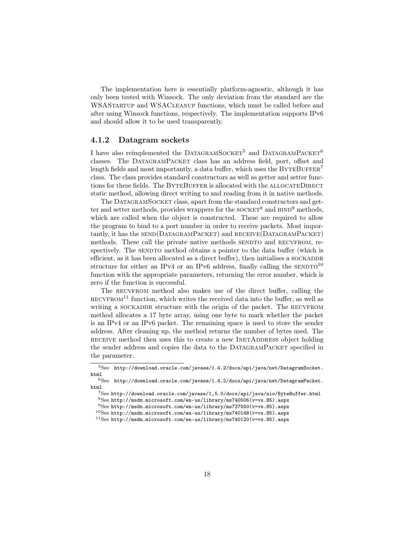The implementation here is essentially platform-agnostic, although it has only been tested with Winsock. The only deviation from the standard are the WSAStartup and WSACleanup functions, which must be called before and after using Winsock functions, respectively. The implementation supports IPv6 and should allow it to be used transparently.

#### <span id="page-19-0"></span>4.1.2 Datagram sockets

I have also reimplemented the DATAGRAMSOCKET<sup>[5](#page-19-1)</sup> and DATAGRAMPACKET<sup>[6](#page-19-2)</sup> classes. The DatagramPacket class has an address field, port, offset and length fields and most importantly, a data buffer, which uses the  $BYTEBUFFER^7$  $BYTEBUFFER^7$ class. The class provides standard constructors as well as getter and setter functions for these fields. The BYTEBUFFER is allocated with the ALLOCATEDIRECT static method, allowing direct writing to and reading from it in native methods.

The DATAGRAMSOCKET class, apart from the standard constructors and get-ter and setter methods, provides wrappers for the SOCKET<sup>[8](#page-19-4)</sup> and  $BIND<sup>9</sup>$  $BIND<sup>9</sup>$  $BIND<sup>9</sup>$  methods, which are called when the object is constructed. These are required to allow the program to bind to a port number in order to receive packets. Most importantly, it has the SEND(DATAGRAMPACKET) and RECEIVE(DATAGRAMPACKET) methods. These call the private native methods SENDTO and RECVFROM, respectively. The SENDTO method obtains a pointer to the data buffer (which is efficient, as it has been allocated as a direct buffer), then initialises a SOCKADDR structure for either an IPv4 or an IPv6 address, finally calling the  $\text{SENDTO}^{10}$  $\text{SENDTO}^{10}$  $\text{SENDTO}^{10}$ function with the appropriate parameters, returning the error number, which is zero if the function is successful.

The RECVFROM method also makes use of the direct buffer, calling the  $RECVFROM<sup>11</sup>$  $RECVFROM<sup>11</sup>$  $RECVFROM<sup>11</sup>$  function, which writes the received data into the buffer, as well as writing a SOCKADDR structure with the origin of the packet. The RECVFROM method allocates a 17 byte array, using one byte to mark whether the packet is an IPv4 or an IPv6 packet. The remaining space is used to store the sender address. After cleaning up, the method returns the number of bytes used. The RECEIVE method then uses this to create a new INETADDRESS object holding the sender address and copies the data to the DATAGRAMPACKET specified in the parameter.

<span id="page-19-1"></span> ${\rm ^5See}\;$ [http://download.oracle.com/javase/1.4.2/docs/api/java/net/DatagramSocket.](http://download.oracle.com/javase/1.4.2/docs/api/java/net/DatagramSocket.html) [html](http://download.oracle.com/javase/1.4.2/docs/api/java/net/DatagramSocket.html)

<span id="page-19-2"></span><sup>6</sup>See [http://download.oracle.com/javase/1.4.2/docs/api/java/net/DatagramPacket.](http://download.oracle.com/javase/1.4.2/docs/api/java/net/DatagramPacket.html) [html](http://download.oracle.com/javase/1.4.2/docs/api/java/net/DatagramPacket.html)

<span id="page-19-3"></span> $^{7}$ See <http://download.oracle.com/javase/1,5.0/docs/api/java/nio/ByteBuffer.html>

<span id="page-19-4"></span> $^8{\rm See~http://msdn.microsoft.com/en-us/library/ms740506(v=vs.85).aspx}$  $^8{\rm See~http://msdn.microsoft.com/en-us/library/ms740506(v=vs.85).aspx}$  $^8{\rm See~http://msdn.microsoft.com/en-us/library/ms740506(v=vs.85).aspx}$ 

<span id="page-19-6"></span><span id="page-19-5"></span> $^{9}$ See [http://msdn.microsoft.com/en-us/library/ms737550\(v=vs.85\).aspx](http://msdn.microsoft.com/en-us/library/ms737550(v=vs.85).aspx)  $^{10}\mathrm{See}$ [http://msdn.microsoft.com/en-us/library/ms740148\(v=vs.85\).aspx](http://msdn.microsoft.com/en-us/library/ms740148(v=vs.85).aspx)

<span id="page-19-7"></span> $11$ See [http://msdn.microsoft.com/en-us/library/ms740120\(v=vs.85\).aspx](http://msdn.microsoft.com/en-us/library/ms740120(v=vs.85).aspx)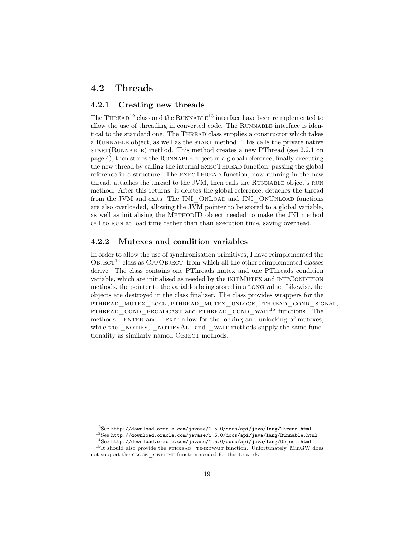### <span id="page-20-0"></span>4.2 Threads

#### <span id="page-20-1"></span>4.2.1 Creating new threads

The THREAD<sup>[12](#page-20-3)</sup> class and the RUNNABLE<sup>[13](#page-20-4)</sup> interface have been reimplemented to allow the use of threading in converted code. The RUNNABLE interface is identical to the standard one. The THREAD class supplies a constructor which takes a RUNNABLE object, as well as the START method. This calls the private native  $\text{START}(\text{RUNNABLE)}$  method. This method creates a new PThread (see [2.2.1 on](#page-5-1) [page 4\)](#page-5-1), then stores the Runnable object in a global reference, finally executing the new thread by calling the internal execThread function, passing the global reference in a structure. The EXECTHREAD function, now running in the new thread, attaches the thread to the JVM, then calls the RUNNABLE object's RUN method. After this returns, it deletes the global reference, detaches the thread from the JVM and exits. The JNI\_OnLoad and JNI\_OnUnload functions are also overloaded, allowing the JVM pointer to be stored to a global variable, as well as initialising the MethodID object needed to make the JNI method call to RUN at load time rather than than execution time, saving overhead.

#### <span id="page-20-2"></span>4.2.2 Mutexes and condition variables

In order to allow the use of synchronisation primitives, I have reimplemented the  $O$ BJECT<sup>[14](#page-20-5)</sup> class as CPPOBJECT, from which all the other reimplemented classes derive. The class contains one PThreads mutex and one PThreads condition variable, which are initialised as needed by the INITMUTEX and INITCONDITION methods, the pointer to the variables being stored in a long value. Likewise, the objects are destroyed in the class finalizer. The class provides wrappers for the pthread\_mutex\_lock, pthread\_mutex\_unlock, pthread\_cond\_signal, PTHREAD COND BROADCAST and PTHREAD COND WAIT<sup>[15](#page-20-6)</sup> functions. The methods ENTER and EXIT allow for the locking and unlocking of mutexes, while the \_NOTIFY, \_NOTIFYALL and \_WAIT methods supply the same functionality as similarly named OBJECT methods.

<span id="page-20-3"></span> $12$ See <http://download.oracle.com/javase/1.5.0/docs/api/java/lang/Thread.html>

<span id="page-20-4"></span><sup>&</sup>lt;sup>13</sup>See <http://download.oracle.com/javase/1.5.0/docs/api/java/lang/Runnable.html>

<span id="page-20-6"></span><span id="page-20-5"></span> $^{14}\rm{See}$ <http://download.oracle.com/javase/1.5.0/docs/api/java/lang/Object.html>

 $15$ It should also provide the PTHREAD TIMEDWAIT function. Unfortunately, MinGW does not support the CLOCK GETTIME function needed for this to work.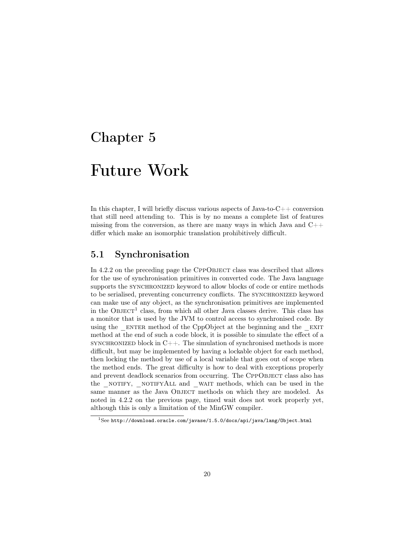# <span id="page-21-0"></span>Future Work

In this chapter, I will briefly discuss various aspects of Java-to-C++ conversion that still need attending to. This is by no means a complete list of features missing from the conversion, as there are many ways in which Java and  $C_{++}$ differ which make an isomorphic translation prohibitively difficult.

## <span id="page-21-1"></span>5.1 Synchronisation

In [4.2.2 on the preceding page](#page-20-2) the CPPOBJECT class was described that allows for the use of synchronisation primitives in converted code. The Java language supports the SYNCHRONIZED keyword to allow blocks of code or entire methods to be serialised, preventing concurrency conflicts. The SYNCHRONIZED keyword can make use of any object, as the synchronisation primitives are implemented in the  $O$ BJECT<sup>[1](#page-21-2)</sup> class, from which all other Java classes derive. This class has a monitor that is used by the JVM to control access to synchronised code. By using the  $E$  ENTER method of the CppObject at the beginning and the  $E(X)$ method at the end of such a code block, it is possible to simulate the effect of a SYNCHRONIZED block in  $C++$ . The simulation of synchronised methods is more difficult, but may be implemented by having a lockable object for each method, then locking the method by use of a local variable that goes out of scope when the method ends. The great difficulty is how to deal with exceptions properly and prevent deadlock scenarios from occurring. The CPPOBJECT class also has the \_NOTIFY, \_NOTIFYALL and \_WAIT methods, which can be used in the same manner as the Java OBJECT methods on which they are modeled. As noted in [4.2.2 on the previous page,](#page-20-2) timed wait does not work properly yet, although this is only a limitation of the MinGW compiler.

<span id="page-21-2"></span><sup>1</sup>See <http://download.oracle.com/javase/1.5.0/docs/api/java/lang/Object.html>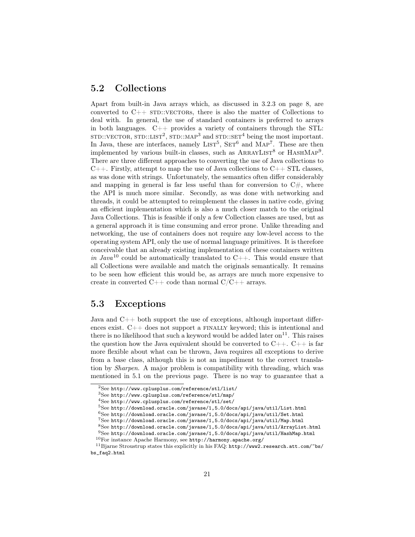### <span id="page-22-0"></span>5.2 Collections

Apart from built-in Java arrays which, as discussed in [3.2.3 on page 8,](#page-9-1) are converted to  $C++$  sTD::VECTORS, there is also the matter of Collections to deal with. In general, the use of standard containers is preferred to arrays in both languages.  $C++$  provides a variety of containers through the STL:  $STD::VECTOR, STD::LIST<sup>2</sup>, STD::MAP<sup>3</sup> and STD::SET<sup>4</sup> being the most important.$  $STD::VECTOR, STD::LIST<sup>2</sup>, STD::MAP<sup>3</sup> and STD::SET<sup>4</sup> being the most important.$  $STD::VECTOR, STD::LIST<sup>2</sup>, STD::MAP<sup>3</sup> and STD::SET<sup>4</sup> being the most important.$  $STD::VECTOR, STD::LIST<sup>2</sup>, STD::MAP<sup>3</sup> and STD::SET<sup>4</sup> being the most important.$  $STD::VECTOR, STD::LIST<sup>2</sup>, STD::MAP<sup>3</sup> and STD::SET<sup>4</sup> being the most important.$  $STD::VECTOR, STD::LIST<sup>2</sup>, STD::MAP<sup>3</sup> and STD::SET<sup>4</sup> being the most important.$  $STD::VECTOR, STD::LIST<sup>2</sup>, STD::MAP<sup>3</sup> and STD::SET<sup>4</sup> being the most important.$ In Java, these are interfaces, namely  $LIST<sup>5</sup>$  $LIST<sup>5</sup>$  $LIST<sup>5</sup>$ ,  $SET<sup>6</sup>$  $SET<sup>6</sup>$  $SET<sup>6</sup>$  and  $MAP<sup>7</sup>$  $MAP<sup>7</sup>$  $MAP<sup>7</sup>$ . These are then implemented by various built-in classes, such as  $ARRAYLIST^8$  $ARRAYLIST^8$  or  $HASHMAP^9$  $HASHMAP^9$ . There are three different approaches to converting the use of Java collections to  $C_{++}$ . Firstly, attempt to map the use of Java collections to  $C_{++}$  STL classes, as was done with strings. Unfortunately, the semantics often differ considerably and mapping in general is far less useful than for conversion to  $C\#$ , where the API is much more similar. Secondly, as was done with networking and threads, it could be attempted to reimplement the classes in native code, giving an efficient implementation which is also a much closer match to the original Java Collections. This is feasible if only a few Collection classes are used, but as a general approach it is time consuming and error prone. Unlike threading and networking, the use of containers does not require any low-level access to the operating system API, only the use of normal language primitives. It is therefore conceivable that an already existing implementation of these containers written in Java<sup>[10](#page-22-10)</sup> could be automatically translated to  $C_{++}$ . This would ensure that all Collections were available and match the originals semantically. It remains to be seen how efficient this would be, as arrays are much more expensive to create in converted  $C++$  code than normal  $C/C++$  arrays.

## <span id="page-22-1"></span>5.3 Exceptions

Java and C++ both support the use of exceptions, although important differences exist.  $C++$  does not support a FINALLY keyword; this is intentional and there is no likelihood that such a keyword would be added later on<sup>[11](#page-22-11)</sup>. This raises the question how the Java equivalent should be converted to  $C_{++}$ .  $C_{++}$  is far more flexible about what can be thrown, Java requires all exceptions to derive from a base class, although this is not an impediment to the correct translation by Sharpen. A major problem is compatibility with threading, which was mentioned in [5.1 on the previous page.](#page-21-1) There is no way to guarantee that a

<span id="page-22-2"></span><sup>2</sup>See <http://www.cplusplus.com/reference/stl/list/>

<span id="page-22-3"></span><sup>3</sup>See <http://www.cplusplus.com/reference/stl/map/>

<span id="page-22-4"></span><sup>4</sup>See <http://www.cplusplus.com/reference/stl/set/>

<span id="page-22-5"></span> $5$ See <http://download.oracle.com/javase/1,5.0/docs/api/java/util/List.html>

<span id="page-22-6"></span> $6$ See <http://download.oracle.com/javase/1,5.0/docs/api/java/util/Set.html>

<span id="page-22-7"></span><sup>7</sup>See <http://download.oracle.com/javase/1,5.0/docs/api/java/util/Map.html>

<span id="page-22-8"></span> ${}^{8}$ See <http://download.oracle.com/javase/1,5.0/docs/api/java/util/ArrayList.html>

<span id="page-22-9"></span><sup>9</sup>See <http://download.oracle.com/javase/1,5.0/docs/api/java/util/HashMap.html>

<span id="page-22-11"></span><span id="page-22-10"></span> $^{10}\rm{For}$  instance Apache Harmony, see  ${\tt http://harmony.apache.org/}$  ${\tt http://harmony.apache.org/}$  ${\tt http://harmony.apache.org/}$ 

 $^{11}\rm{B}$  iarne Stroustrup states this explicitly in his FAQ: [http://www2.research.att.com/~bs/](http://www2.research.att.com/~bs/bs_faq2.html) [bs\\_faq2.html](http://www2.research.att.com/~bs/bs_faq2.html)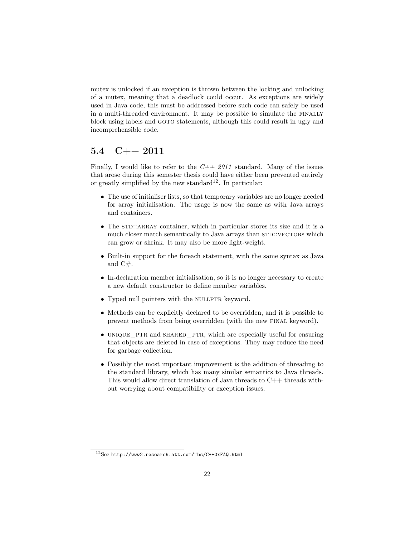mutex is unlocked if an exception is thrown between the locking and unlocking of a mutex, meaning that a deadlock could occur. As exceptions are widely used in Java code, this must be addressed before such code can safely be used in a multi-threaded environment. It may be possible to simulate the finally block using labels and goto statements, although this could result in ugly and incomprehensible code.

### <span id="page-23-0"></span>5.4 C++ 2011

Finally, I would like to refer to the  $C++2011$  standard. Many of the issues that arose during this semester thesis could have either been prevented entirely or greatly simplified by the new standard<sup>[12](#page-23-1)</sup>. In particular:

- The use of initialiser lists, so that temporary variables are no longer needed for array initialisation. The usage is now the same as with Java arrays and containers.
- $\bullet$  The STD::ARRAY container, which in particular stores its size and it is a much closer match semantically to Java arrays than  $STD::VECTORS$  which can grow or shrink. It may also be more light-weight.
- Built-in support for the foreach statement, with the same syntax as Java and C#.
- In-declaration member initialisation, so it is no longer necessary to create a new default constructor to define member variables.
- Typed null pointers with the NULLPTR keyword.
- Methods can be explicitly declared to be overridden, and it is possible to prevent methods from being overridden (with the new final keyword).
- UNIQUE PTR and SHARED PTR, which are especially useful for ensuring that objects are deleted in case of exceptions. They may reduce the need for garbage collection.
- Possibly the most important improvement is the addition of threading to the standard library, which has many similar semantics to Java threads. This would allow direct translation of Java threads to  $C++$  threads without worrying about compatibility or exception issues.

<span id="page-23-1"></span><sup>12</sup>See <http://www2.research.att.com/~bs/C++0xFAQ.html>